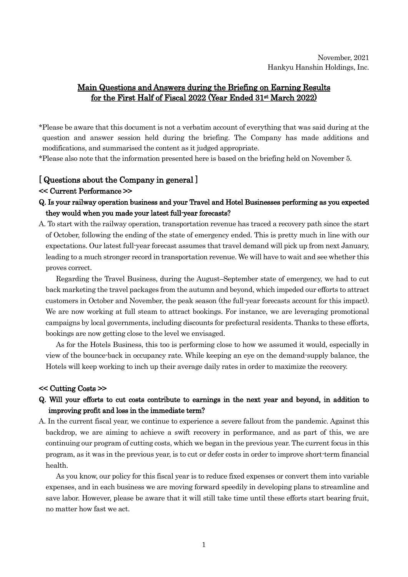# Main Questions and Answers during the Briefing on Earning Results for the First Half of Fiscal 2022 (Year Ended 31st March 2022)

\*Please be aware that this document is not a verbatim account of everything that was said during at the question and answer session held during the briefing. The Company has made additions and modifications, and summarised the content as it judged appropriate.

\*Please also note that the information presented here is based on the briefing held on November 5.

# [ Questions about the Company in general ]

### << Current Performance >>

- Q. Is your railway operation business and your Travel and Hotel Businesses performing as you expected they would when you made your latest full-year forecasts?
- A. To start with the railway operation, transportation revenue has traced a recovery path since the start of October, following the ending of the state of emergency ended. This is pretty much in line with our expectations. Our latest full-year forecast assumes that travel demand will pick up from next January, leading to a much stronger record in transportation revenue. We will have to wait and see whether this proves correct.

Regarding the Travel Business, during the August–September state of emergency, we had to cut back marketing the travel packages from the autumn and beyond, which impeded our efforts to attract customers in October and November, the peak season (the full-year forecasts account for this impact). We are now working at full steam to attract bookings. For instance, we are leveraging promotional campaigns by local governments, including discounts for prefectural residents. Thanks to these efforts, bookings are now getting close to the level we envisaged.

As for the Hotels Business, this too is performing close to how we assumed it would, especially in view of the bounce-back in occupancy rate. While keeping an eye on the demand-supply balance, the Hotels will keep working to inch up their average daily rates in order to maximize the recovery.

## << Cutting Costs >>

# Q. Will your efforts to cut costs contribute to earnings in the next year and beyond, in addition to improving profit and loss in the immediate term?

A. In the current fiscal year, we continue to experience a severe fallout from the pandemic. Against this backdrop, we are aiming to achieve a swift recovery in performance, and as part of this, we are continuing our program of cutting costs, which we began in the previous year. The current focus in this program, as it was in the previous year, is to cut or defer costs in order to improve short-term financial health.

As you know, our policy for this fiscal year is to reduce fixed expenses or convert them into variable expenses, and in each business we are moving forward speedily in developing plans to streamline and save labor. However, please be aware that it will still take time until these efforts start bearing fruit, no matter how fast we act.